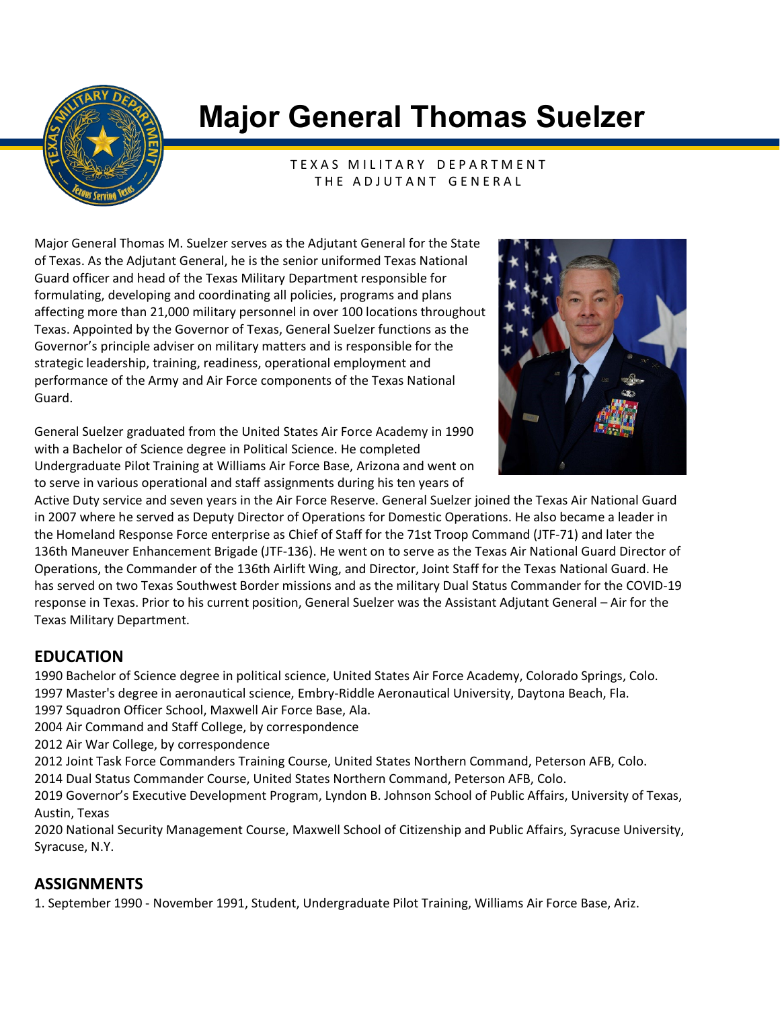

# **Major General Thomas Suelzer**

TEXAS MILITARY DEPARTMENT THE ADJUTANT GENERAL

Major General Thomas M. Suelzer serves as the Adjutant General for the State of Texas. As the Adjutant General, he is the senior uniformed Texas National Guard officer and head of the Texas Military Department responsible for formulating, developing and coordinating all policies, programs and plans affecting more than 21,000 military personnel in over 100 locations throughout Texas. Appointed by the Governor of Texas, General Suelzer functions as the Governor's principle adviser on military matters and is responsible for the strategic leadership, training, readiness, operational employment and performance of the Army and Air Force components of the Texas National Guard.

General Suelzer graduated from the United States Air Force Academy in 1990 with a Bachelor of Science degree in Political Science. He completed Undergraduate Pilot Training at Williams Air Force Base, Arizona and went on to serve in various operational and staff assignments during his ten years of



Active Duty service and seven years in the Air Force Reserve. General Suelzer joined the Texas Air National Guard in 2007 where he served as Deputy Director of Operations for Domestic Operations. He also became a leader in the Homeland Response Force enterprise as Chief of Staff for the 71st Troop Command (JTF-71) and later the 136th Maneuver Enhancement Brigade (JTF-136). He went on to serve as the Texas Air National Guard Director of Operations, the Commander of the 136th Airlift Wing, and Director, Joint Staff for the Texas National Guard. He has served on two Texas Southwest Border missions and as the military Dual Status Commander for the COVID-19 response in Texas. Prior to his current position, General Suelzer was the Assistant Adjutant General – Air for the Texas Military Department.

## **EDUCATION**

1990 Bachelor of Science degree in political science, United States Air Force Academy, Colorado Springs, Colo. 1997 Master's degree in aeronautical science, Embry-Riddle Aeronautical University, Daytona Beach, Fla.

1997 Squadron Officer School, Maxwell Air Force Base, Ala.

2004 Air Command and Staff College, by correspondence

2012 Air War College, by correspondence

2012 Joint Task Force Commanders Training Course, United States Northern Command, Peterson AFB, Colo. 2014 Dual Status Commander Course, United States Northern Command, Peterson AFB, Colo.

2019 Governor's Executive Development Program, Lyndon B. Johnson School of Public Affairs, University of Texas, Austin, Texas

2020 National Security Management Course, Maxwell School of Citizenship and Public Affairs, Syracuse University, Syracuse, N.Y.

## **ASSIGNMENTS**

1. September 1990 - November 1991, Student, Undergraduate Pilot Training, Williams Air Force Base, Ariz.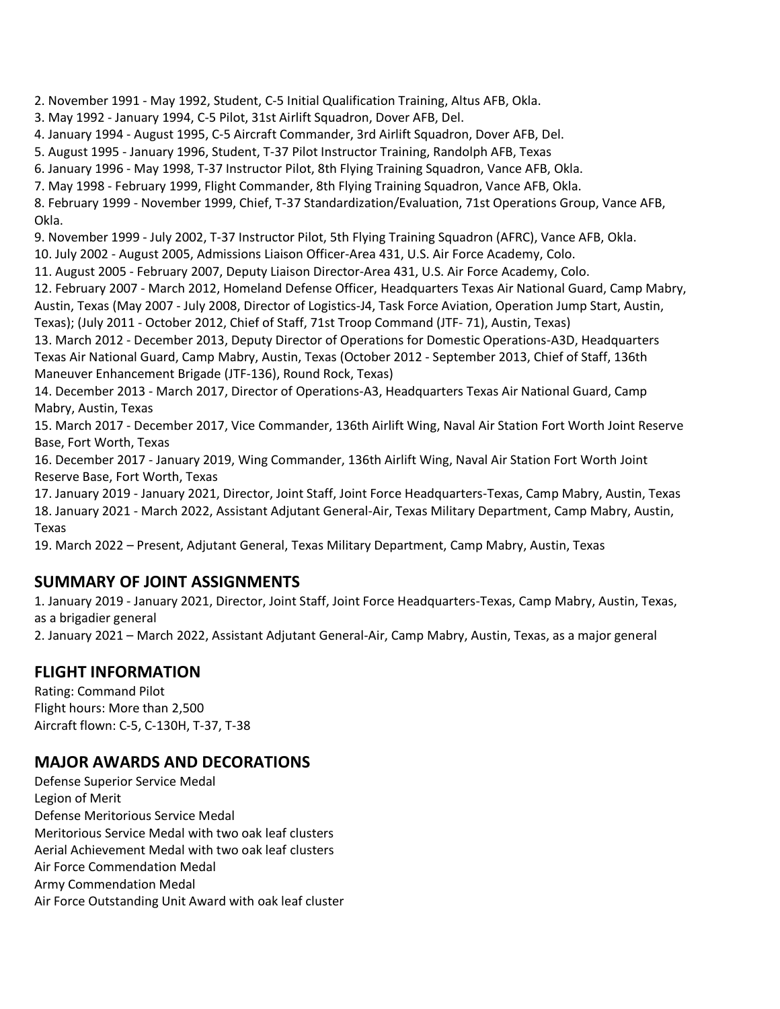2. November 1991 - May 1992, Student, C-5 Initial Qualification Training, Altus AFB, Okla.

3. May 1992 - January 1994, C-5 Pilot, 31st Airlift Squadron, Dover AFB, Del.

4. January 1994 - August 1995, C-5 Aircraft Commander, 3rd Airlift Squadron, Dover AFB, Del.

5. August 1995 - January 1996, Student, T-37 Pilot Instructor Training, Randolph AFB, Texas

6. January 1996 - May 1998, T-37 Instructor Pilot, 8th Flying Training Squadron, Vance AFB, Okla.

7. May 1998 - February 1999, Flight Commander, 8th Flying Training Squadron, Vance AFB, Okla.

8. February 1999 - November 1999, Chief, T-37 Standardization/Evaluation, 71st Operations Group, Vance AFB, Okla.

9. November 1999 - July 2002, T-37 Instructor Pilot, 5th Flying Training Squadron (AFRC), Vance AFB, Okla.

10. July 2002 - August 2005, Admissions Liaison Officer-Area 431, U.S. Air Force Academy, Colo.

11. August 2005 - February 2007, Deputy Liaison Director-Area 431, U.S. Air Force Academy, Colo.

12. February 2007 - March 2012, Homeland Defense Officer, Headquarters Texas Air National Guard, Camp Mabry,

Austin, Texas (May 2007 - July 2008, Director of Logistics-J4, Task Force Aviation, Operation Jump Start, Austin,

Texas); (July 2011 - October 2012, Chief of Staff, 71st Troop Command (JTF- 71), Austin, Texas)

13. March 2012 - December 2013, Deputy Director of Operations for Domestic Operations-A3D, Headquarters Texas Air National Guard, Camp Mabry, Austin, Texas (October 2012 - September 2013, Chief of Staff, 136th Maneuver Enhancement Brigade (JTF-136), Round Rock, Texas)

14. December 2013 - March 2017, Director of Operations-A3, Headquarters Texas Air National Guard, Camp Mabry, Austin, Texas

15. March 2017 - December 2017, Vice Commander, 136th Airlift Wing, Naval Air Station Fort Worth Joint Reserve Base, Fort Worth, Texas

16. December 2017 - January 2019, Wing Commander, 136th Airlift Wing, Naval Air Station Fort Worth Joint Reserve Base, Fort Worth, Texas

17. January 2019 - January 2021, Director, Joint Staff, Joint Force Headquarters-Texas, Camp Mabry, Austin, Texas 18. January 2021 - March 2022, Assistant Adjutant General-Air, Texas Military Department, Camp Mabry, Austin, Texas

19. March 2022 – Present, Adjutant General, Texas Military Department, Camp Mabry, Austin, Texas

## **SUMMARY OF JOINT ASSIGNMENTS**

1. January 2019 - January 2021, Director, Joint Staff, Joint Force Headquarters-Texas, Camp Mabry, Austin, Texas, as a brigadier general

2. January 2021 – March 2022, Assistant Adjutant General-Air, Camp Mabry, Austin, Texas, as a major general

## **FLIGHT INFORMATION**

Rating: Command Pilot Flight hours: More than 2,500 Aircraft flown: C-5, C-130H, T-37, T-38

## **MAJOR AWARDS AND DECORATIONS**

Defense Superior Service Medal Legion of Merit Defense Meritorious Service Medal Meritorious Service Medal with two oak leaf clusters Aerial Achievement Medal with two oak leaf clusters Air Force Commendation Medal Army Commendation Medal Air Force Outstanding Unit Award with oak leaf cluster